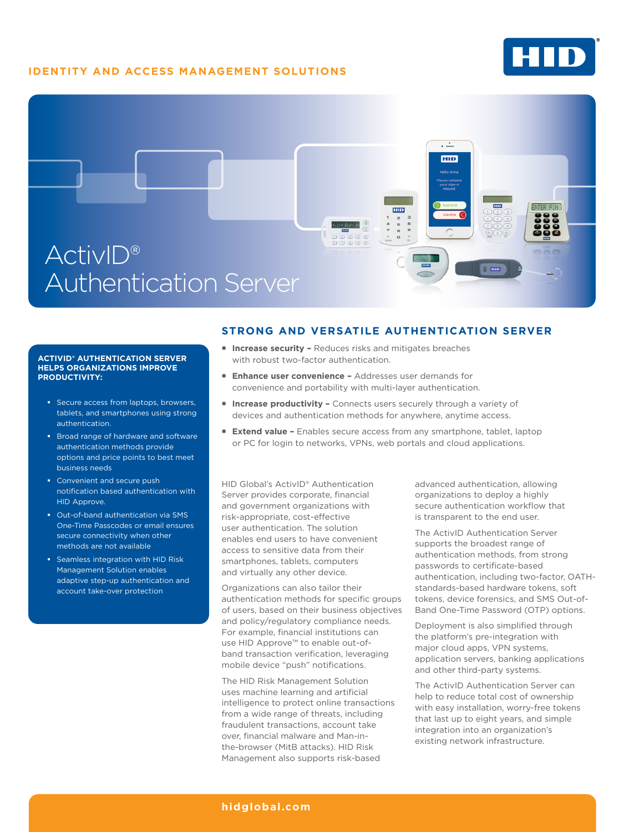## **IDENTITY AND ACCESS MANAGEMENT SOLUTIONS**





#### **ACTIVID® AUTHENTICATION SERVER HELPS ORGANIZATIONS IMPROVE PRODUCTIVITY:**

- Secure access from laptops, browsers tablets, and smartphones using strong authentication.
- **Broad range of hardware and software** authentication methods provide options and price points to best meet business needs
- Convenient and secure push notification based authentication with HID Approve.
- Out-of-band authentication via SMS One-Time Passcodes or email ensures secure connectivity when other methods are not available
- Seamless integration with HID Risk Management Solution enables adaptive step-up authentication and account take-over protection

### **STRONG AND VERSATILE AUTHENTICATION SERVER**

- Increase security Reduces risks and mitigates breaches with robust two-factor authentication.
- **Enhance user convenience -** Addresses user demands for convenience and portability with multi-layer authentication.
- Increase productivity Connects users securely through a variety of devices and authentication methods for anywhere, anytime access.
- **Extend value –** Enables secure access from any smartphone, tablet, laptop or PC for login to networks, VPNs, web portals and cloud applications.

HID Global's ActivID® Authentication Server provides corporate, financial and government organizations with risk-appropriate, cost-effective user authentication. The solution enables end users to have convenient access to sensitive data from their smartphones, tablets, computers and virtually any other device.

Organizations can also tailor their authentication methods for specific groups of users, based on their business objectives and policy/regulatory compliance needs. For example, financial institutions can use HID Approve™ to enable out-ofband transaction verification, leveraging mobile device "push" notifications.

The HID Risk Management Solution uses machine learning and artificial intelligence to protect online transactions from a wide range of threats, including fraudulent transactions, account take over, financial malware and Man-inthe-browser (MitB attacks). HID Risk Management also supports risk-based

advanced authentication, allowing organizations to deploy a highly secure authentication workflow that is transparent to the end user.

The ActivID Authentication Server supports the broadest range of authentication methods, from strong passwords to certificate-based authentication, including two-factor, OATHstandards-based hardware tokens, soft tokens, device forensics, and SMS Out-of-Band One-Time Password (OTP) options.

Deployment is also simplified through the platform's pre-integration with major cloud apps, VPN systems, application servers, banking applications and other third-party systems.

The ActivID Authentication Server can help to reduce total cost of ownership with easy installation, worry-free tokens that last up to eight years, and simple integration into an organization's existing network infrastructure.

### **hidglobal.com**